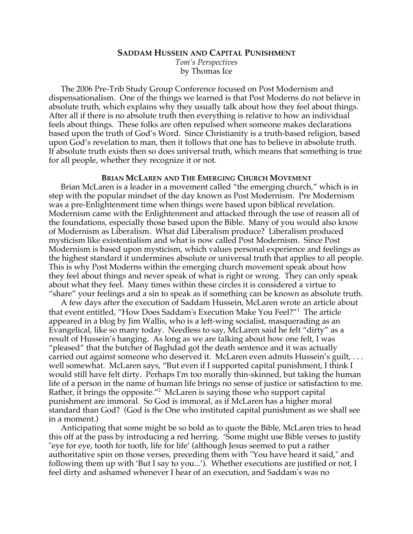# **SADDAM HUSSEIN AND CAPITAL PUNISHMENT**

*Tom's Perspectives* by Thomas Ice

The 2006 Pre-Trib Study Group Conference focused on Post Modernism and dispensationalism. One of the things we learned is that Post Moderns do not believe in absolute truth, which explains why they usually talk about how they feel about things. After all if there is no absolute truth then everything is relative to how an individual feels about things. These folks are often repulsed when someone makes declarations based upon the truth of God's Word. Since Christianity is a truth-based religion, based upon God's revelation to man, then it follows that one has to believe in absolute truth. If absolute truth exists then so does universal truth, which means that something is true for all people, whether they recognize it or not.

#### **BRIAN MCLAREN AND THE EMERGING CHURCH MOVEMENT**

Brian McLaren is a leader in a movement called "the emerging church," which is in step with the popular mindset of the day known as Post Modernism. Pre Modernism was a pre-Enlightenment time when things were based upon biblical revelation. Modernism came with the Enlightenment and attacked through the use of reason all of the foundations, especially those based upon the Bible. Many of you would also know of Modernism as Liberalism. What did Liberalism produce? Liberalism produced mysticism like existentialism and what is now called Post Modernism. Since Post Modernism is based upon mysticism, which values personal experience and feelings as the highest standard it undermines absolute or universal truth that applies to all people. This is why Post Moderns within the emerging church movement speak about how they feel about things and never speak of what is right or wrong. They can only speak about what they feel. Many times within these circles it is considered a virtue to "share" your feelings and a sin to speak as if something can be known as absolute truth.

A few days after the execution of Saddam Hussein, McLaren wrote an article about that event entitled, "How Does Saddam's Execution Make You Feel?"<sup>1</sup> The article appeared in a blog by Jim Wallis, who is a left-wing socialist, masquerading as an Evangelical, like so many today. Needless to say, McLaren said he felt "dirty" as a result of Hussein's hanging. As long as we are talking about how one felt, I was "pleased" that the butcher of Baghdad got the death sentence and it was actually carried out against someone who deserved it. McLaren even admits Hussein's guilt, . . . well somewhat. McLaren says, "But even if I supported capital punishment, I think I would still have felt dirty. Perhaps I'm too morally thin-skinned, but taking the human life of a person in the name of human life brings no sense of justice or satisfaction to me. Rather, it brings the opposite."<sup>2</sup> McLaren is saying those who support capital punishment are immoral. So God is immoral, as if McLaren has a higher moral standard than God? (God is the One who instituted capital punishment as we shall see in a moment.)

Anticipating that some might be so bold as to quote the Bible, McLaren tries to head this off at the pass by introducing a red herring. 'Some might use Bible verses to justify "eye for eye, tooth for tooth, life for life' (although Jesus seemed to put a rather authoritative spin on those verses, preceding them with "You have heard it said," and following them up with 'But I say to you...'). Whether executions are justified or not, I feel dirty and ashamed whenever I hear of an execution, and Saddam's was no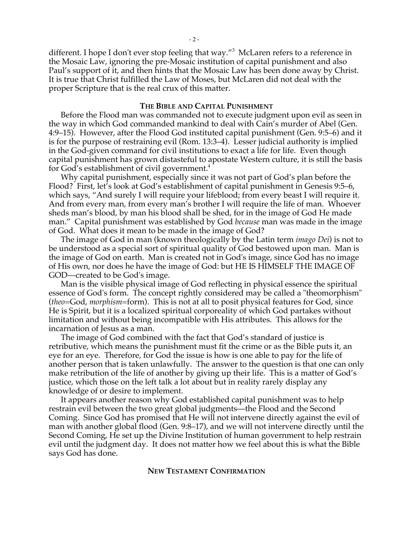different. I hope I don't ever stop feeling that way."<sup>3</sup> McLaren refers to a reference in the Mosaic Law, ignoring the pre-Mosaic institution of capital punishment and also Paul's support of it, and then hints that the Mosaic Law has been done away by Christ. It is true that Christ fulfilled the Law of Moses, but McLaren did not deal with the proper Scripture that is the real crux of this matter.

### **THE BIBLE AND CAPITAL PUNISHMENT**

Before the Flood man was commanded not to execute judgment upon evil as seen in the way in which God commanded mankind to deal with Cain's murder of Abel (Gen. 4:9–15). However, after the Flood God instituted capital punishment (Gen. 9:5–6) and it is for the purpose of restraining evil (Rom. 13:3–4). Lesser judicial authority is implied in the God-given command for civil institutions to exact a life for life. Even though capital punishment has grown distasteful to apostate Western culture, it is still the basis for God's establishment of civil government.<sup>4</sup>

Why capital punishment, especially since it was not part of God's plan before the Flood? First, let's look at God's establishment of capital punishment in Genesis 9:5–6, which says, "And surely I will require your lifeblood; from every beast I will require it. And from every man, from every man's brother I will require the life of man. Whoever sheds man's blood, by man his blood shall be shed, for in the image of God He made man." Capital punishment was established by God *because* man was made in the image of God. What does it mean to be made in the image of God?

The image of God in man (known theologically by the Latin term *imago Dei*) is not to be understood as a special sort of spiritual quality of God bestowed upon man. Man is the image of God on earth. Man is created not in God's image, since God has no image of His own, nor does he have the image of God: but HE IS HIMSELF THE IMAGE OF GOD—created to be God's image.

Man is the visible physical image of God reflecting in physical essence the spiritual essence of God's form. The concept rightly considered may be called a "theomorphism" (*theo*=God, *morphism*=form). This is not at all to posit physical features for God, since He is Spirit, but it is a localized spiritual corporeality of which God partakes without limitation and without being incompatible with His attributes. This allows for the incarnation of Jesus as a man.

The image of God combined with the fact that God's standard of justice is retributive, which means the punishment must fit the crime or as the Bible puts it, an eye for an eye. Therefore, for God the issue is how is one able to pay for the life of another person that is taken unlawfully. The answer to the question is that one can only make retribution of the life of another by giving up their life. This is a matter of God's justice, which those on the left talk a lot about but in reality rarely display any knowledge of or desire to implement.

It appears another reason why God established capital punishment was to help restrain evil between the two great global judgments—the Flood and the Second Coming. Since God has promised that He will not intervene directly against the evil of man with another global flood (Gen. 9:8–17), and we will not intervene directly until the Second Coming, He set up the Divine Institution of human government to help restrain evil until the judgment day. It does not matter how we feel about this is what the Bible says God has done.

### **NEW TESTAMENT CONFIRMATION**